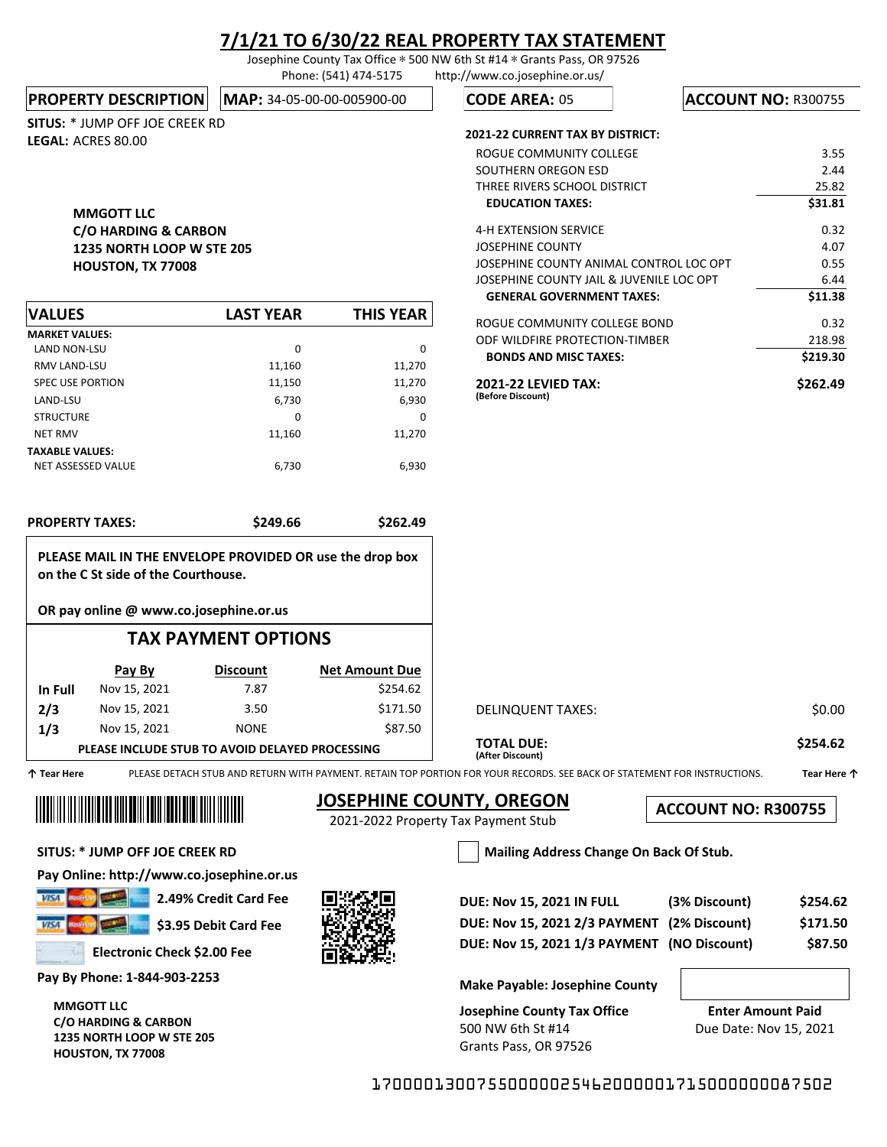Josephine County Tax Office ∗ 500 NW 6th St #14 ∗ Grants Pass, OR 97526 Phone: (541) 474-5175 http://www.co.josephine.or.us/

**PROPERTY DESCRIPTION MAP: 34-05-00-00-005900-00** 

SITUS: \* JUMP OFF JOE CREEK RD LEGAL: ACRES 80.00

### MMGOTT LLC C/O HARDING & CARBON 1235 NORTH LOOP W STE 205 HOUSTON, TX 77008

| <b>VALUES</b>           | <b>LAST YEAR</b> | THIS YEAR |
|-------------------------|------------------|-----------|
| <b>MARKET VALUES:</b>   |                  |           |
| <b>LAND NON-LSU</b>     | 0                | $\Omega$  |
| <b>RMV LAND-LSU</b>     | 11,160           | 11,270    |
| <b>SPEC USE PORTION</b> | 11,150           | 11,270    |
| LAND-LSU                | 6,730            | 6,930     |
| <b>STRUCTURE</b>        | 0                | 0         |
| <b>NET RMV</b>          | 11.160           | 11.270    |
| <b>TAXABLE VALUES:</b>  |                  |           |
| NET ASSESSED VALUE      | 6,730            | 6,930     |

PROPERTY TAXES: \$249.66 \$262.49

PLEASE MAIL IN THE ENVELOPE PROVIDED OR use the drop box

TAX PAYMENT OPTIONS

**CODE AREA: 05 | ACCOUNT NO: R300755** 

#### 2021-22 CURRENT TAX BY DISTRICT:

| ROGUE COMMUNITY COLLEGE                         | 3.55     |
|-------------------------------------------------|----------|
| SOUTHERN OREGON ESD                             | 2.44     |
| THREE RIVERS SCHOOL DISTRICT                    | 25.82    |
| <b>EDUCATION TAXES:</b>                         | \$31.81  |
| 4-H EXTENSION SERVICE                           | 0.32     |
| JOSEPHINE COUNTY                                | 4.07     |
| JOSEPHINE COUNTY ANIMAL CONTROL LOC OPT         | 0.55     |
| JOSEPHINE COUNTY JAIL & JUVENILE LOC OPT        | 6.44     |
| <b>GENERAL GOVERNMENT TAXES:</b>                | \$11.38  |
| ROGUE COMMUNITY COLLEGE BOND                    | 0.32     |
| ODF WILDFIRE PROTECTION-TIMBER                  | 218.98   |
| <b>BONDS AND MISC TAXES:</b>                    | \$219.30 |
| <b>2021-22 LEVIED TAX:</b><br>(Before Discount) | \$262.49 |

|             | Pay By       | <b>Discount</b>                                 | <b>Net Amount Due</b> |                                                                                                                          |             |
|-------------|--------------|-------------------------------------------------|-----------------------|--------------------------------------------------------------------------------------------------------------------------|-------------|
| In Full     | Nov 15, 2021 | 7.87                                            | \$254.62              |                                                                                                                          |             |
| 2/3         | Nov 15, 2021 | 3.50                                            | \$171.50              | DELINQUENT TAXES:                                                                                                        | \$0.00      |
| 1/3         | Nov 15, 2021 | <b>NONE</b>                                     | \$87.50               |                                                                                                                          |             |
|             |              | PLEASE INCLUDE STUB TO AVOID DELAYED PROCESSING |                       | <b>TOTAL DUE:</b><br>(After Discount)                                                                                    | \$254.62    |
| 个 Tear Here |              |                                                 |                       | PLEASE DETACH STUB AND RETURN WITH PAYMENT. RETAIN TOP PORTION FOR YOUR RECORDS. SEE BACK OF STATEMENT FOR INSTRUCTIONS. | Tear Here 个 |

## **JOSEPHINE COUNTY, OREGON**

2021-2022 Property Tax Payment Stub

ACCOUNT NO: R300755

SITUS: \* JUMP OFF JOE CREEK RD Mailing Address Change On Back Of Stub.

II III IIII IIIII IIIII IIIII III

on the C St side of the Courthouse.

OR pay online @ www.co.josephine.or.us

Pay Online: http://www.co.josephine.or.us

 $V/5A$ **V/54** 

Ш

2.49% Credit Card Fee \$3.95 Debit Card Fee

Electronic Check \$2.00 Fee

Pay By Phone: 1-844-903-2253

MMGOTT LLC C/O HARDING & CARBON 1235 NORTH LOOP W STE 205 HOUSTON, TX 77008



| <b>DUE: Nov 15, 2021 IN FULL</b>            | (3% Discount) | \$254.62 |
|---------------------------------------------|---------------|----------|
| DUE: Nov 15, 2021 2/3 PAYMENT (2% Discount) |               | \$171.50 |
| DUE: Nov 15, 2021 1/3 PAYMENT (NO Discount) |               | \$87.50  |

Make Payable: Josephine County

Josephine County Tax Office 500 NW 6th St #14 Grants Pass, OR 97526

Enter Amount Paid Due Date: Nov 15, 2021

17000013007550000025462000001715000000087502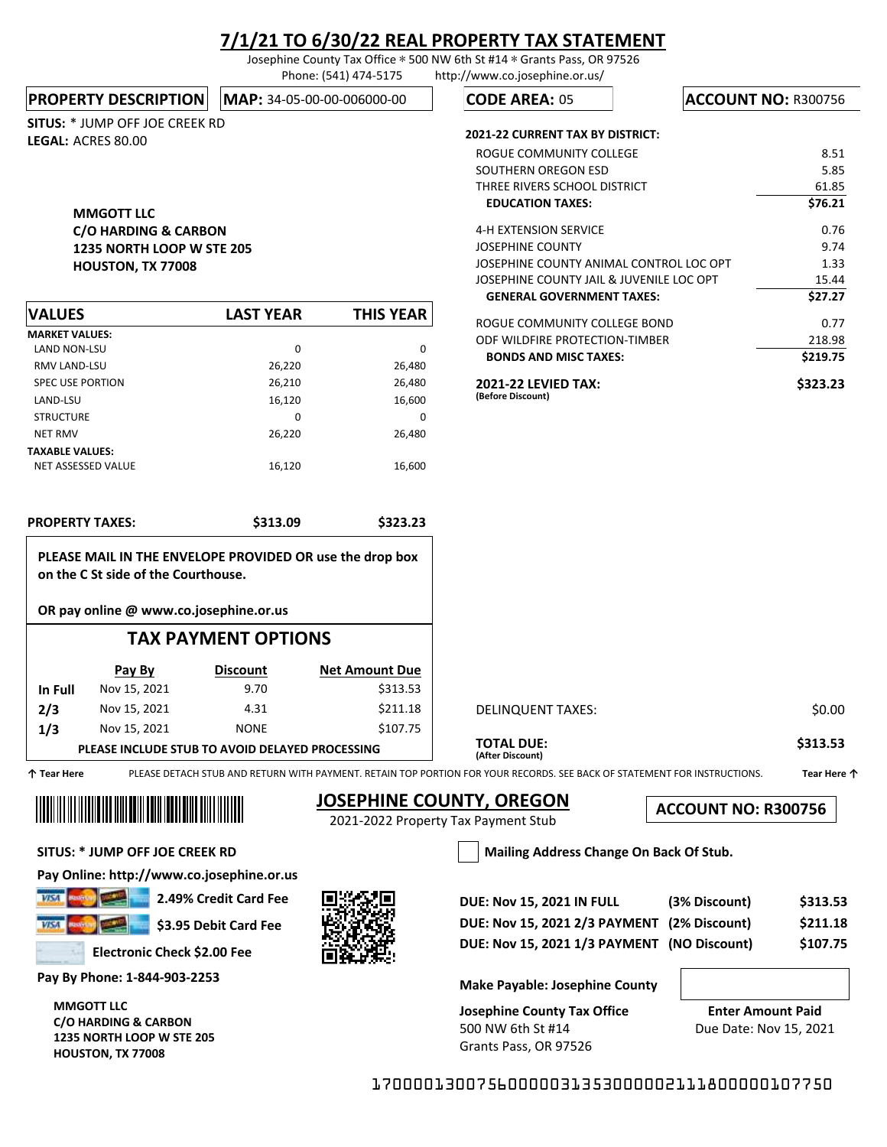Josephine County Tax Office ∗ 500 NW 6th St #14 ∗ Grants Pass, OR 97526 Phone: (541) 474-5175 http://www.co.josephine.or.us/

**PROPERTY DESCRIPTION MAP: 34-05-00-00-006000-00** 

SITUS: \* JUMP OFF JOE CREEK RD LEGAL: ACRES 80.00

### MMGOTT LLC C/O HARDING & CARBON 1235 NORTH LOOP W STE 205 HOUSTON, TX 77008

| <b>VALUES</b>           | <b>LAST YEAR</b> | <b>THIS YEAR</b> |
|-------------------------|------------------|------------------|
| <b>MARKET VALUES:</b>   |                  |                  |
| <b>LAND NON-LSU</b>     | 0                | 0                |
| <b>RMV LAND-LSU</b>     | 26,220           | 26,480           |
| <b>SPEC USE PORTION</b> | 26,210           | 26,480           |
| LAND-LSU                | 16,120           | 16,600           |
| <b>STRUCTURE</b>        | 0                | 0                |
| <b>NET RMV</b>          | 26.220           | 26,480           |
| <b>TAXABLE VALUES:</b>  |                  |                  |
| NET ASSESSED VALUE      | 16,120           | 16,600           |

PROPERTY TAXES: \$313.09 \$323.23

PLEASE MAIL IN THE ENVELOPE PROVIDED OR use the drop box

TAX PAYMENT OPTIONS

**CODE AREA: 05 | ACCOUNT NO: R300756** 

#### 2021-22 CURRENT TAX BY DISTRICT:

| ROGUE COMMUNITY COLLEGE                         | 8.51     |
|-------------------------------------------------|----------|
| SOUTHERN OREGON ESD                             | 5.85     |
| THREE RIVERS SCHOOL DISTRICT                    | 61.85    |
| <b>EDUCATION TAXES:</b>                         | \$76.21  |
| 4-H EXTENSION SERVICE                           | 0.76     |
| JOSEPHINE COUNTY                                | 9.74     |
| JOSEPHINE COUNTY ANIMAL CONTROL LOC OPT         | 1.33     |
| JOSEPHINE COUNTY JAIL & JUVENILE LOC OPT        | 15.44    |
| <b>GENERAL GOVERNMENT TAXES:</b>                | \$27.27  |
| ROGUE COMMUNITY COLLEGE BOND                    | 0.77     |
| ODF WILDFIRE PROTECTION-TIMBER                  | 218.98   |
| <b>BONDS AND MISC TAXES:</b>                    | \$219.75 |
| <b>2021-22 LEVIED TAX:</b><br>(Before Discount) | \$323.23 |

| 个 Tear Here |              |                                                 |          | PLEASE DETACH STUB AND RETURN WITH PAYMENT. RETAIN TOP PORTION FOR YOUR RECORDS. SEE BACK OF STATEMENT FOR INSTRUCTIONS. | Tear Here 个 |
|-------------|--------------|-------------------------------------------------|----------|--------------------------------------------------------------------------------------------------------------------------|-------------|
|             |              | PLEASE INCLUDE STUB TO AVOID DELAYED PROCESSING |          | <b>TOTAL DUE:</b><br>(After Discount)                                                                                    | \$313.53    |
| 1/3         | Nov 15, 2021 | <b>NONE</b>                                     | \$107.75 |                                                                                                                          |             |
| 2/3         | Nov 15, 2021 | 4.31                                            | \$211.18 | DELINQUENT TAXES:                                                                                                        | \$0.00      |
| In Full     | Nov 15, 2021 | 9.70                                            | \$313.53 |                                                                                                                          |             |
|             |              |                                                 |          |                                                                                                                          |             |

## **JOSEPHINE COUNTY, OREGON**

2021-2022 Property Tax Payment Stub

ACCOUNT NO: R300756

SITUS: \* JUMP OFF JOE CREEK RD Mailing Address Change On Back Of Stub.

on the C St side of the Courthouse.

OR pay online @ www.co.josephine.or.us

**Pay By Discount**

Pay Online: http://www.co.josephine.or.us

 $V/5A$ VISA

Ш

2.49% Credit Card Fee \$3.95 Debit Card Fee

Electronic Check \$2.00 Fee

Pay By Phone: 1-844-903-2253

MMGOTT LLC C/O HARDING & CARBON 1235 NORTH LOOP W STE 205 HOUSTON, TX 77008



**Net Amount Due**

| <b>DUE: Nov 15, 2021 IN FULL</b>            | (3% Discount) | \$313.53 |
|---------------------------------------------|---------------|----------|
| DUE: Nov 15, 2021 2/3 PAYMENT (2% Discount) |               | \$211.18 |
| DUE: Nov 15, 2021 1/3 PAYMENT (NO Discount) |               | \$107.75 |

Make Payable: Josephine County

Josephine County Tax Office 500 NW 6th St #14 Grants Pass, OR 97526

Enter Amount Paid Due Date: Nov 15, 2021

17000013007560000031353000002111800000107750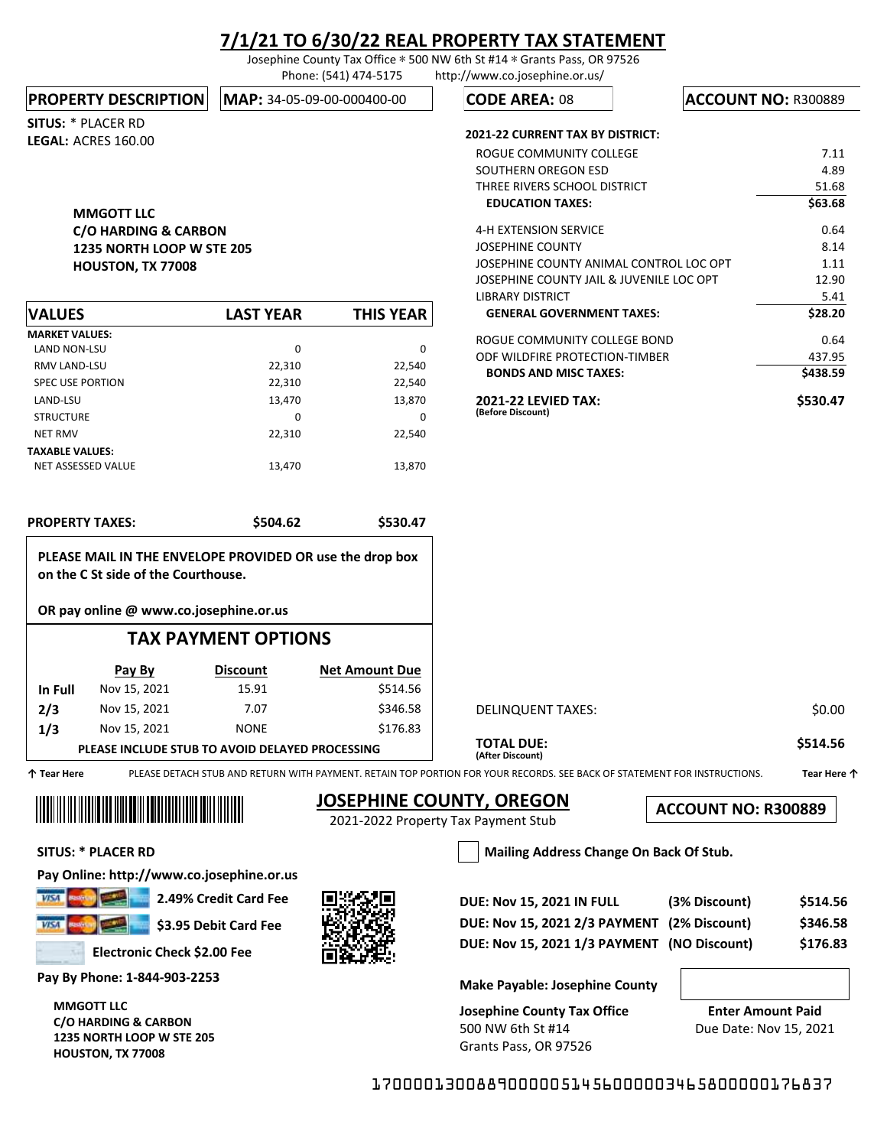Josephine County Tax Office ∗ 500 NW 6th St #14 ∗ Grants Pass, OR 97526 Phone: (541) 474-5175 http://www.co.josephine.or.us/

#### **PROPERTY DESCRIPTION MAP: 34-05-09-00-000400-00**

SITUS: \* PLACER RD LEGAL: ACRES 160.00

### MMGOTT LLC C/O HARDING & CARBON 1235 NORTH LOOP W STE 205 HOUSTON, TX 77008

| <b>VALUES</b>           | <b>LAST YEAR</b> | <b>THIS YEAR</b> |
|-------------------------|------------------|------------------|
| <b>MARKET VALUES:</b>   |                  |                  |
| <b>LAND NON-LSU</b>     | 0                | 0                |
| <b>RMV LAND-LSU</b>     | 22.310           | 22,540           |
| <b>SPEC USE PORTION</b> | 22,310           | 22,540           |
| LAND-LSU                | 13,470           | 13,870           |
| <b>STRUCTURE</b>        | 0                | 0                |
| <b>NET RMV</b>          | 22,310           | 22,540           |
| <b>TAXABLE VALUES:</b>  |                  |                  |
| NET ASSESSED VALUE      | 13,470           | 13,870           |

|  | <b>PROPERTY TAXES:</b> |  |  |  |
|--|------------------------|--|--|--|
|--|------------------------|--|--|--|

\$504.62 \$530.47

PLEASE MAIL IN THE ENVELOPE PROVIDED OR use the drop box on the C St side of the Courthouse.

OR pay online @ www.co.josephine.or.us

## TAX PAYMENT OPTIONS

|                                                  | Pay By       | <b>Discount</b> | <b>Net Amount Due</b> |  |
|--------------------------------------------------|--------------|-----------------|-----------------------|--|
| In Full                                          | Nov 15, 2021 | 15.91           | \$514.56              |  |
| 2/3                                              | Nov 15, 2021 | 7.07            | \$346.58              |  |
| 1/3                                              | Nov 15, 2021 | <b>NONE</b>     | \$176.83              |  |
| DI EACE INCLUDE CTUR TO AVOID DELAVED RROCECCING |              |                 |                       |  |

#### **PLEASE INCLUDE STUB TO AVOID DELAYED PROCESSING**

个 Tear Here  $\,$ PLEASE DETACH STUB AND RETURN WITH PAYMENT. RETAIN TOP PORTION FOR YOUR RECORDS. SEE BACK OF STATEMENT FOR INSTRUCTIONS.  $\,$  Tear Here 个  $\,$ 

Ⅲ

# **JOSEPHINE COUNTY, OREGON**

2021-2022 Property Tax Payment Stub

(After Discount)

ACCOUNT NO: R300889

SITUS: \* PLACER RD Mailing Address Change On Back Of Stub.

Pay Online: http://www.co.josephine.or.us

**VISA** 

\$3.95 Debit Card Fee

2.49% Credit Card Fee

Electronic Check \$2.00 Fee

Pay By Phone: 1-844-903-2253

MMGOTT LLC C/O HARDING & CARBON 1235 NORTH LOOP W STE 205 HOUSTON, TX 77008



| <b>DUE: Nov 15, 2021 IN FULL</b>            | (3% Discount) | \$514.56 |
|---------------------------------------------|---------------|----------|
| DUE: Nov 15, 2021 2/3 PAYMENT (2% Discount) |               | \$346.58 |
| DUE: Nov 15, 2021 1/3 PAYMENT (NO Discount) |               | \$176.83 |

DELINQUENT TAXES: \$0.00

TOTAL DUE: \$514.56

Make Payable: Josephine County

Josephine County Tax Office 500 NW 6th St #14 Grants Pass, OR 97526

Enter Amount Paid Due Date: Nov 15, 2021

17000013008890000051456000003465800000176837

| \$530.47 |
|----------|
| \$438.59 |
| 437.95   |
| 0.64     |
| \$28.20  |
| 5.41     |
| 12.90    |
| 1.11     |
| 8.14     |
| 0.64     |
| \$63.68  |
| 51.68    |
| 4.89     |
| 7.11     |
|          |

**CODE AREA: 08 | ACCOUNT NO: R300889** 

2021-22 CURRENT TAX BY DISTRICT: